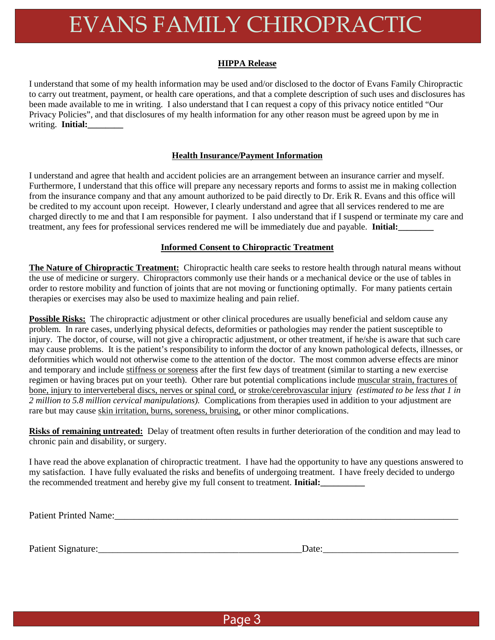# EVANS FAMILY CHIROPRACTIC

### **HIPPA Release**

I understand that some of my health information may be used and/or disclosed to the doctor of Evans Family Chiropractic to carry out treatment, payment, or health care operations, and that a complete description of such uses and disclosures has been made available to me in writing. I also understand that I can request a copy of this privacy notice entitled "Our Privacy Policies", and that disclosures of my health information for any other reason must be agreed upon by me in writing. **Initial:\_\_\_\_\_\_\_\_**

## **Health Insurance/Payment Information**

I understand and agree that health and accident policies are an arrangement between an insurance carrier and myself. Furthermore, I understand that this office will prepare any necessary reports and forms to assist me in making collection from the insurance company and that any amount authorized to be paid directly to Dr. Erik R. Evans and this office will be credited to my account upon receipt. However, I clearly understand and agree that all services rendered to me are charged directly to me and that I am responsible for payment. I also understand that if I suspend or terminate my care and treatment, any fees for professional services rendered me will be immediately due and payable. **Initial:** 

### **Informed Consent to Chiropractic Treatment**

**The Nature of Chiropractic Treatment:** Chiropractic health care seeks to restore health through natural means without the use of medicine or surgery. Chiropractors commonly use their hands or a mechanical device or the use of tables in order to restore mobility and function of joints that are not moving or functioning optimally. For many patients certain therapies or exercises may also be used to maximize healing and pain relief.

**Possible Risks:** The chiropractic adjustment or other clinical procedures are usually beneficial and seldom cause any problem. In rare cases, underlying physical defects, deformities or pathologies may render the patient susceptible to injury. The doctor, of course, will not give a chiropractic adjustment, or other treatment, if he/she is aware that such care may cause problems. It is the patient's responsibility to inform the doctor of any known pathological defects, illnesses, or deformities which would not otherwise come to the attention of the doctor. The most common adverse effects are minor and temporary and include stiffness or soreness after the first few days of treatment (similar to starting a new exercise regimen or having braces put on your teeth). Other rare but potential complications include muscular strain, fractures of bone, injury to interverteberal discs, nerves or spinal cord, or stroke/cerebrovascular injury *(estimated to be less that 1 in 2 million to 5.8 million cervical manipulations).* Complications from therapies used in addition to your adjustment are rare but may cause skin irritation, burns, soreness, bruising, or other minor complications.

**Risks of remaining untreated:** Delay of treatment often results in further deterioration of the condition and may lead to chronic pain and disability, or surgery.

I have read the above explanation of chiropractic treatment. I have had the opportunity to have any questions answered to my satisfaction. I have fully evaluated the risks and benefits of undergoing treatment. I have freely decided to undergo the recommended treatment and hereby give my full consent to treatment. **Initial:** 

Patient Printed Name:\_\_\_\_\_\_\_\_\_\_\_\_\_\_\_\_\_\_\_\_\_\_\_\_\_\_\_\_\_\_\_\_\_\_\_\_\_\_\_\_\_\_\_\_\_\_\_\_\_\_\_\_\_\_\_\_\_\_\_\_\_\_\_\_\_\_\_\_\_\_\_

Patient Signature:\_\_\_\_\_\_\_\_\_\_\_\_\_\_\_\_\_\_\_\_\_\_\_\_\_\_\_\_\_\_\_\_\_\_\_\_\_\_\_\_\_\_Date:\_\_\_\_\_\_\_\_\_\_\_\_\_\_\_\_\_\_\_\_\_\_\_\_\_\_\_\_

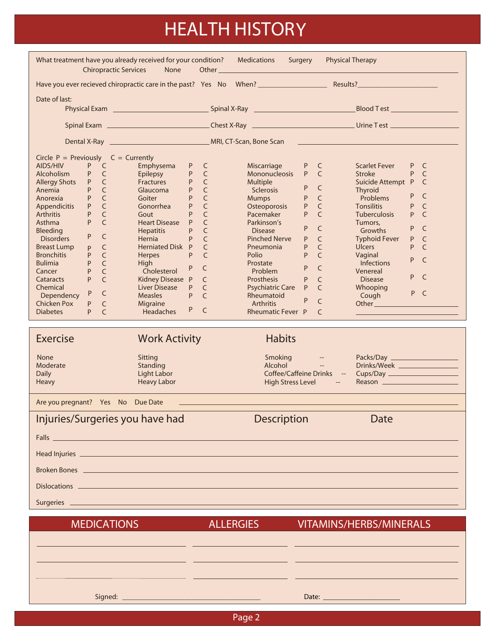# HEALTH HISTORY

| What treatment have you already received for your condition? Medications<br>Surgery Physical Therapy<br><b>Chiropractic Services</b><br>None                                                                                                                                                                                                                                                                                                                                                                                                                                                                                                                                                   |                                                                                                                                                                                                                                                                                                                                                           |                                                                                                                                                                                                                                                                                                                                                                                                                                                                                                                                                                   |                                                                                                                                                                                                                                                     |                                                                                                                                                                                                                                                                                                                                                                                                                                |  |
|------------------------------------------------------------------------------------------------------------------------------------------------------------------------------------------------------------------------------------------------------------------------------------------------------------------------------------------------------------------------------------------------------------------------------------------------------------------------------------------------------------------------------------------------------------------------------------------------------------------------------------------------------------------------------------------------|-----------------------------------------------------------------------------------------------------------------------------------------------------------------------------------------------------------------------------------------------------------------------------------------------------------------------------------------------------------|-------------------------------------------------------------------------------------------------------------------------------------------------------------------------------------------------------------------------------------------------------------------------------------------------------------------------------------------------------------------------------------------------------------------------------------------------------------------------------------------------------------------------------------------------------------------|-----------------------------------------------------------------------------------------------------------------------------------------------------------------------------------------------------------------------------------------------------|--------------------------------------------------------------------------------------------------------------------------------------------------------------------------------------------------------------------------------------------------------------------------------------------------------------------------------------------------------------------------------------------------------------------------------|--|
|                                                                                                                                                                                                                                                                                                                                                                                                                                                                                                                                                                                                                                                                                                |                                                                                                                                                                                                                                                                                                                                                           |                                                                                                                                                                                                                                                                                                                                                                                                                                                                                                                                                                   |                                                                                                                                                                                                                                                     |                                                                                                                                                                                                                                                                                                                                                                                                                                |  |
| Date of last:                                                                                                                                                                                                                                                                                                                                                                                                                                                                                                                                                                                                                                                                                  |                                                                                                                                                                                                                                                                                                                                                           |                                                                                                                                                                                                                                                                                                                                                                                                                                                                                                                                                                   |                                                                                                                                                                                                                                                     | Physical Exam <u>entitled and the second spinal X-Ray entitled and the second Blood Test entitled and the second</u>                                                                                                                                                                                                                                                                                                           |  |
|                                                                                                                                                                                                                                                                                                                                                                                                                                                                                                                                                                                                                                                                                                |                                                                                                                                                                                                                                                                                                                                                           |                                                                                                                                                                                                                                                                                                                                                                                                                                                                                                                                                                   |                                                                                                                                                                                                                                                     | Spinal Exam <u>Constantine Chest X-Ray Chest X-Ray Chest Chest Chest Chest Chest Chest Chest Chest Chest Chest Chest Chest Chest Chest Chest Chest Chest Chest Chest Chest Chest Chest Chest Chest Chest Chest Chest Chest Chest</u>                                                                                                                                                                                           |  |
|                                                                                                                                                                                                                                                                                                                                                                                                                                                                                                                                                                                                                                                                                                |                                                                                                                                                                                                                                                                                                                                                           |                                                                                                                                                                                                                                                                                                                                                                                                                                                                                                                                                                   |                                                                                                                                                                                                                                                     |                                                                                                                                                                                                                                                                                                                                                                                                                                |  |
| Circle $P = Previously$ C = Currently<br>P C<br>AIDS/HIV<br>P C<br>Alcoholism<br>P C<br>Allergy Shots<br>P.<br>$\mathsf{C}$<br>Anemia<br>Anorexia<br>P.<br>$\mathsf{C}$<br>$\mathsf{C}$<br><b>Appendicitis</b><br>P<br>P<br>$\mathsf{C}$<br><b>Arthritis</b><br>P.<br>$\mathsf{C}$<br>Asthma<br><b>Bleeding</b><br>P<br>$\mathsf{C}$<br><b>Disorders</b><br><b>Breast Lump</b><br>$\mathsf{C}$<br>P<br><b>Bronchitis</b><br>$\mathsf{C}$<br>P<br>P<br>$\mathsf{C}$<br><b>Bulimia</b><br>P<br>$\mathsf{C}$<br>Cancer<br>P<br>$\mathsf{C}$<br>Cataracts<br>Chemical<br>$\sf P$<br>$\mathsf{C}$<br>Dependency<br><b>Chicken Pox</b><br>$\mathsf{C}$<br>P<br>P.<br>$\mathsf{C}$<br><b>Diabetes</b> | P C<br>Emphysema<br><b>Epilepsy</b><br>P<br>Fractures<br>P.<br>Glaucoma<br>Goiter<br>P<br>Gonorrhea<br>P<br>Gout<br>Heart Disease P<br><b>Hepatitis</b><br>P<br>Hernia<br>Herniated Disk P<br>Herpes<br>P<br>High<br>P<br>Cholesterol<br>Kidney Disease P<br>Liver Disease<br><b>Measles</b><br>P.<br>Migraine<br>P<br>$\overline{C}$<br><b>Headaches</b> | Miscarriage<br>$\mathsf{C}$<br>Mononucleosis<br>$\mathsf{C}$<br><b>Multiple</b><br>$\mathsf{C}$<br>Sclerosis<br>$\mathsf{C}$<br><b>Mumps</b><br>$\mathsf{C}$<br>Osteoporosis<br>$\mathsf{C}$<br>Pacemaker<br>C<br>Parkinson's<br>$\mathsf{C}$<br><b>Disease</b><br>$\mathsf{C}$<br><b>Pinched Nerve</b><br>$\mathsf{C}$<br>Pneumonia<br>$\mathsf{C}$<br>Polio<br>Prostate<br>$\mathsf{C}$<br><b>Problem</b><br>$\mathsf{C}$<br><b>Prosthesis</b><br>$\mathsf{C}$<br>Psychiatric Care P<br>$\subset$<br>Rheumatoid<br><b>Arthritis</b><br><b>Rheumatic Fever P</b> | P<br>$\mathsf{C}$<br>P C<br>P<br>$\mathsf{C}$<br>$\mathsf{C}$<br>P<br>$\mathsf{C}$<br>P<br>P<br>$\mathsf{C}$<br>P<br>C<br>$\mathsf{C}$<br>P<br>P<br>$\mathsf{C}$<br>P<br>$\mathsf{C}$<br>P<br>C<br>C<br>P<br>$\mathsf{C}$<br>P<br>$\mathsf{C}$<br>C | Scarlet Fever<br>P C<br>Stroke<br>P.<br><sup>-</sup> C<br>Suicide Attempt P<br><sup>-</sup> C<br>Thyroid<br>P<br>C<br>Problems<br><b>Tonsilitis</b><br>P<br>C<br><b>Tuberculosis</b><br>P C<br>Tumors,<br>P<br>C<br>Growths<br><b>Typhoid Fever</b><br>P<br>C<br><b>Ulcers</b><br>P<br>C<br>Vaginal<br>P<br>$\subset$<br><b>Infections</b><br>Venereal<br>P<br>C<br><b>Disease</b><br>Whooping<br>P<br><sup>-</sup> C<br>Cough |  |
| Exercise                                                                                                                                                                                                                                                                                                                                                                                                                                                                                                                                                                                                                                                                                       | <b>Work Activity</b>                                                                                                                                                                                                                                                                                                                                      | <b>Habits</b>                                                                                                                                                                                                                                                                                                                                                                                                                                                                                                                                                     |                                                                                                                                                                                                                                                     |                                                                                                                                                                                                                                                                                                                                                                                                                                |  |
| None<br>Moderate<br><b>Daily</b><br><b>Heavy</b>                                                                                                                                                                                                                                                                                                                                                                                                                                                                                                                                                                                                                                               | Sitting<br>Standing<br>Light Labor<br><b>Heavy Labor</b>                                                                                                                                                                                                                                                                                                  | Alcohol<br><b>High Stress Level</b>                                                                                                                                                                                                                                                                                                                                                                                                                                                                                                                               | Smoking - The Smoking<br>Coffee/Caffeine Drinks --<br>$\sim$ - $\sim$                                                                                                                                                                               | Drinks/Week<br>Cups/Day _______________________<br>Reason _________________________                                                                                                                                                                                                                                                                                                                                            |  |
| Are you pregnant? Yes No Due Date                                                                                                                                                                                                                                                                                                                                                                                                                                                                                                                                                                                                                                                              |                                                                                                                                                                                                                                                                                                                                                           |                                                                                                                                                                                                                                                                                                                                                                                                                                                                                                                                                                   |                                                                                                                                                                                                                                                     |                                                                                                                                                                                                                                                                                                                                                                                                                                |  |
| Injuries/Surgeries you have had                                                                                                                                                                                                                                                                                                                                                                                                                                                                                                                                                                                                                                                                |                                                                                                                                                                                                                                                                                                                                                           | <b>Description</b>                                                                                                                                                                                                                                                                                                                                                                                                                                                                                                                                                |                                                                                                                                                                                                                                                     | Date                                                                                                                                                                                                                                                                                                                                                                                                                           |  |
|                                                                                                                                                                                                                                                                                                                                                                                                                                                                                                                                                                                                                                                                                                |                                                                                                                                                                                                                                                                                                                                                           |                                                                                                                                                                                                                                                                                                                                                                                                                                                                                                                                                                   |                                                                                                                                                                                                                                                     |                                                                                                                                                                                                                                                                                                                                                                                                                                |  |
|                                                                                                                                                                                                                                                                                                                                                                                                                                                                                                                                                                                                                                                                                                |                                                                                                                                                                                                                                                                                                                                                           |                                                                                                                                                                                                                                                                                                                                                                                                                                                                                                                                                                   |                                                                                                                                                                                                                                                     |                                                                                                                                                                                                                                                                                                                                                                                                                                |  |
|                                                                                                                                                                                                                                                                                                                                                                                                                                                                                                                                                                                                                                                                                                |                                                                                                                                                                                                                                                                                                                                                           |                                                                                                                                                                                                                                                                                                                                                                                                                                                                                                                                                                   |                                                                                                                                                                                                                                                     |                                                                                                                                                                                                                                                                                                                                                                                                                                |  |
|                                                                                                                                                                                                                                                                                                                                                                                                                                                                                                                                                                                                                                                                                                |                                                                                                                                                                                                                                                                                                                                                           |                                                                                                                                                                                                                                                                                                                                                                                                                                                                                                                                                                   |                                                                                                                                                                                                                                                     |                                                                                                                                                                                                                                                                                                                                                                                                                                |  |
| <b>MEDICATIONS</b>                                                                                                                                                                                                                                                                                                                                                                                                                                                                                                                                                                                                                                                                             |                                                                                                                                                                                                                                                                                                                                                           | <b>ALLERGIES</b>                                                                                                                                                                                                                                                                                                                                                                                                                                                                                                                                                  |                                                                                                                                                                                                                                                     | VITAMINS/HERBS/MINERALS                                                                                                                                                                                                                                                                                                                                                                                                        |  |

| Signed: | $\mathsf{Date}$ |
|---------|-----------------|

Page 2